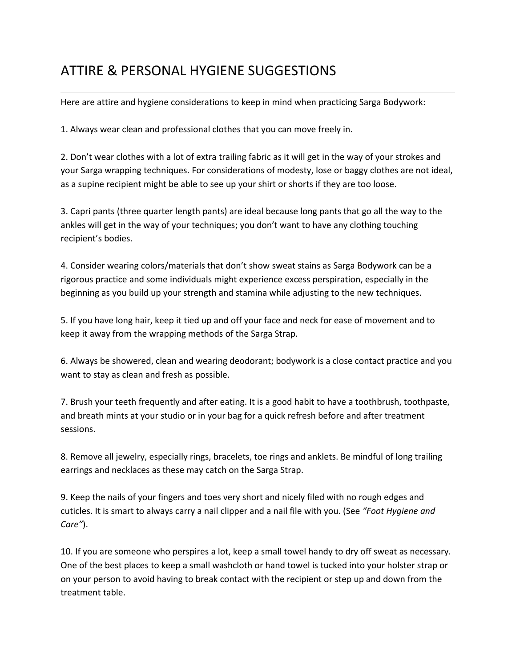### ATTIRE & PERSONAL HYGIENE SUGGESTIONS

Here are attire and hygiene considerations to keep in mind when practicing Sarga Bodywork:

1. Always wear clean and professional clothes that you can move freely in.

2. Don't wear clothes with a lot of extra trailing fabric as it will get in the way of your strokes and your Sarga wrapping techniques. For considerations of modesty, lose or baggy clothes are not ideal, as a supine recipient might be able to see up your shirt or shorts if they are too loose.

3. Capri pants (three quarter length pants) are ideal because long pants that go all the way to the ankles will get in the way of your techniques; you don't want to have any clothing touching recipient's bodies.

4. Consider wearing colors/materials that don't show sweat stains as Sarga Bodywork can be a rigorous practice and some individuals might experience excess perspiration, especially in the beginning as you build up your strength and stamina while adjusting to the new techniques.

5. If you have long hair, keep it tied up and off your face and neck for ease of movement and to keep it away from the wrapping methods of the Sarga Strap.

6. Always be showered, clean and wearing deodorant; bodywork is a close contact practice and you want to stay as clean and fresh as possible.

7. Brush your teeth frequently and after eating. It is a good habit to have a toothbrush, toothpaste, and breath mints at your studio or in your bag for a quick refresh before and after treatment sessions.

8. Remove all jewelry, especially rings, bracelets, toe rings and anklets. Be mindful of long trailing earrings and necklaces as these may catch on the Sarga Strap.

9. Keep the nails of your fingers and toes very short and nicely filed with no rough edges and cuticles. It is smart to always carry a nail clipper and a nail file with you. (See *"Foot Hygiene and Care"*).

10. If you are someone who perspires a lot, keep a small towel handy to dry off sweat as necessary. One of the best places to keep a small washcloth or hand towel is tucked into your holster strap or on your person to avoid having to break contact with the recipient or step up and down from the treatment table.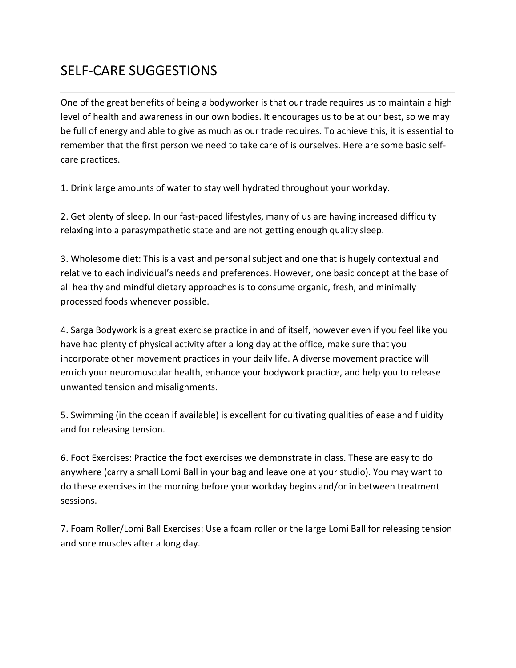## SELF-CARE SUGGESTIONS

One of the great benefits of being a bodyworker is that our trade requires us to maintain a high level of health and awareness in our own bodies. It encourages us to be at our best, so we may be full of energy and able to give as much as our trade requires. To achieve this, it is essential to remember that the first person we need to take care of is ourselves. Here are some basic selfcare practices.

1. Drink large amounts of water to stay well hydrated throughout your workday.

2. Get plenty of sleep. In our fast-paced lifestyles, many of us are having increased difficulty relaxing into a parasympathetic state and are not getting enough quality sleep.

3. Wholesome diet: This is a vast and personal subject and one that is hugely contextual and relative to each individual's needs and preferences. However, one basic concept at the base of all healthy and mindful dietary approaches is to consume organic, fresh, and minimally processed foods whenever possible.

4. Sarga Bodywork is a great exercise practice in and of itself, however even if you feel like you have had plenty of physical activity after a long day at the office, make sure that you incorporate other movement practices in your daily life. A diverse movement practice will enrich your neuromuscular health, enhance your bodywork practice, and help you to release unwanted tension and misalignments.

5. Swimming (in the ocean if available) is excellent for cultivating qualities of ease and fluidity and for releasing tension.

6. Foot Exercises: Practice the foot exercises we demonstrate in class. These are easy to do anywhere (carry a small Lomi Ball in your bag and leave one at your studio). You may want to do these exercises in the morning before your workday begins and/or in between treatment sessions.

7. Foam Roller/Lomi Ball Exercises: Use a foam roller or the large Lomi Ball for releasing tension and sore muscles after a long day.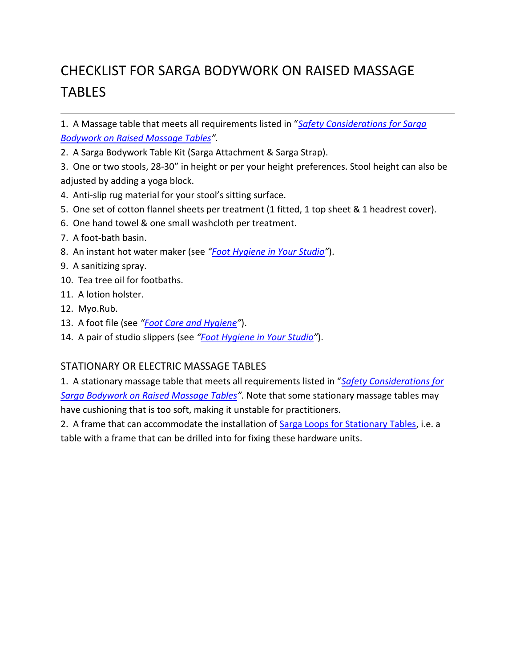# CHECKLIST FOR SARGA BODYWORK ON RAISED MASSAGE TABLES

1. A Massage table that meets all requirements listed in "*[Safety Considerations for Sarga](http://www.sargabodywork.com/safety-considerations-for-sarga-bodywork-on-raised-massage-tables.html)  [Bodywork on Raised Massage Tables](http://www.sargabodywork.com/safety-considerations-for-sarga-bodywork-on-raised-massage-tables.html)".*

2. A Sarga Bodywork Table Kit (Sarga Attachment & Sarga Strap).

3. One or two stools, 28-30" in height or per your height preferences. Stool height can also be adjusted by adding a yoga block.

- 4. Anti-slip rug material for your stool's sitting surface.
- 5. One set of cotton flannel sheets per treatment (1 fitted, 1 top sheet & 1 headrest cover).
- 6. One hand towel & one small washcloth per treatment.
- 7. A foot-bath basin.
- 8. An instant hot water maker (see *"[Foot Hygiene in Your Studio](http://www.sargabodywork.com/)"*).
- 9. A sanitizing spray.
- 10. Tea tree oil for footbaths.
- 11. A lotion holster.
- 12. Myo.Rub.
- 13. A foot file (see *"[Foot Care and Hygiene](http://www.sargabodywork.com/foot-care--hygiene.html)"*).
- 14. A pair of studio slippers (see *"[Foot Hygiene in Your Studio](http://www.sargabodywork.com/)"*).

### STATIONARY OR ELECTRIC MASSAGE TABLES

1. A stationary massage table that meets all requirements listed in "*[Safety Considerations for](http://www.sargabodywork.com/safety-considerations-for-sarga-bodywork-on-raised-massage-tables.html)  [Sarga Bodywork on Raised Massage Tables](http://www.sargabodywork.com/safety-considerations-for-sarga-bodywork-on-raised-massage-tables.html)".* Note that some stationary massage tables may have cushioning that is too soft, making it unstable for practitioners.

2. A frame that can accommodate the installation of [Sarga Loops for Stationary Tables,](http://www.sargabodywork.com/store/p28/Sarga_Loops_for_Stationary_Tables%2A%3A_Coming_Soon%21.html) i.e. a table with a frame that can be drilled into for fixing these hardware units.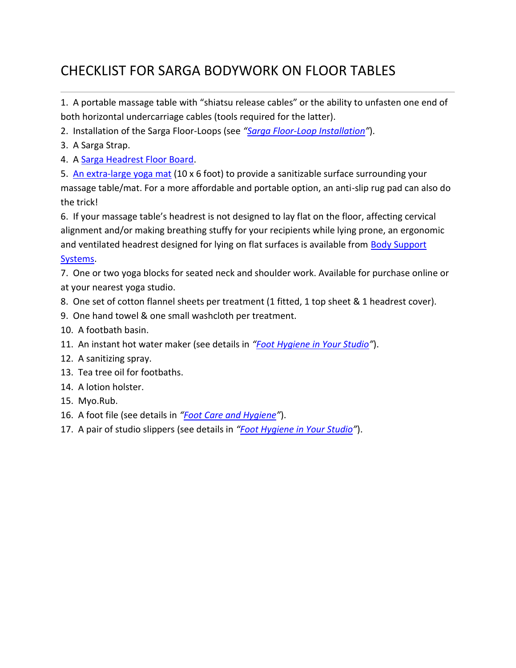## CHECKLIST FOR SARGA BODYWORK ON FLOOR TABLES

1. A portable massage table with "shiatsu release cables" or the ability to unfasten one end of both horizontal undercarriage cables (tools required for the latter).

2. Installation of the Sarga Floor-Loops (see *"[Sarga Floor-Loop Installation](http://www.sargabodywork.com/sarga-floor-loop-installation.html)"*).

- 3. A Sarga Strap.
- 4. A [Sarga Headrest Floor Board.](http://www.sargabodywork.com/store/p18/Sarga_Headrest_Floor-Board%3A_Coming_Soon%21.html)

5. [An extra-large yoga mat](https://www.amazon.com/Exercise-Designed-Plyometric-Workouts-Square36/dp/B01MDRDQ5P/ref=sr_1_2_sspa?s=sporting-goods&ie=UTF8&qid=1520352678&sr=1-2-spons&keywords=square36+cardio+mat&psc=1) (10 x 6 foot) to provide a sanitizable surface surrounding your massage table/mat. For a more affordable and portable option, an anti-slip rug pad can also do the trick!

6. If your massage table's headrest is not designed to lay flat on the floor, affecting cervical alignment and/or making breathing stuffy for your recipients while lying prone, an ergonomic and ventilated headrest designed for lying on flat surfaces is available from **Body Support** 

#### [Systems.](http://www.bodysupport.com/)

7. One or two yoga blocks for seated neck and shoulder work. Available for purchase online or at your nearest yoga studio.

- 8. One set of cotton flannel sheets per treatment (1 fitted, 1 top sheet & 1 headrest cover).
- 9. One hand towel & one small washcloth per treatment.
- 10. A footbath basin.
- 11. An instant hot water maker (see details in *"[Foot Hygiene in Your Studio](http://www.sargabodywork.com/)"*).
- 12. A sanitizing spray.
- 13. Tea tree oil for footbaths.
- 14. A lotion holster.
- 15. Myo.Rub.
- 16. A foot file (see details in *"[Foot Care and Hygiene](http://www.sargabodywork.com/foot-care--hygiene.html)"*).
- 17. A pair of studio slippers (see details in *"[Foot Hygiene in Your Studio](http://www.sargabodywork.com/)"*).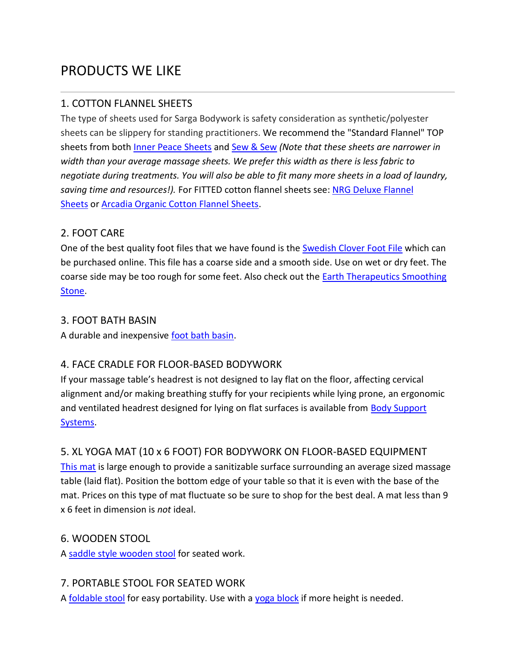### PRODUCTS WE LIKE

### 1. COTTON FLANNEL SHEETS

The type of sheets used for Sarga Bodywork is safety consideration as synthetic/polyester sheets can be slippery for standing practitioners. We recommend the "Standard Flannel" TOP sheets from both [Inner Peace Sheets](http://www.innerpeacesheets.com/) and [Sew & Sew](http://sewandsewonline.com/) *(Note that these sheets are narrower in width than your average massage sheets. We prefer this width as there is less fabric to negotiate during treatments. You will also be able to fit many more sheets in a load of laundry, saving time and resources!).* For FITTED cotton flannel sheets see: [NRG Deluxe Flannel](https://www.amazon.com/NRG-DELUXE-FLANNEL-FITTED-NATURAL/dp/B072K6X76H/ref=sr_1_2_sspa?ie=UTF8&qid=1535550170&sr=8-2-spons&keywords=fitted+flannel+massage+sheet&psc=1)  [Sheets](https://www.amazon.com/NRG-DELUXE-FLANNEL-FITTED-NATURAL/dp/B072K6X76H/ref=sr_1_2_sspa?ie=UTF8&qid=1535550170&sr=8-2-spons&keywords=fitted+flannel+massage+sheet&psc=1) or [Arcadia Organic Cotton Flannel Sheets.](https://www.amazon.com/ArcadiaTM100-Organic-Cotton-Flannel-Massage/dp/B06Y64LB7N/ref=sr_1_1_sspa?ie=UTF8&qid=1535550170&sr=8-1-spons&keywords=fitted+flannel+massage+sheet&psc=1)

#### 2. FOOT CARE

One of the best quality foot files that we have found is the **[Swedish Clover Foot File](https://www.amazon.com/s/ref=nb_sb_noss_2?url=search-alias%3Daps&field-keywords=swedish+clover)** which can be purchased online. This file has a coarse side and a smooth side. Use on wet or dry feet. The coarse side may be too rough for some feet. Also check out the **Earth Therapeutics Smoothing** [Stone.](https://www.amazon.com/Earth-Therapeutics-Pedi-glass-Stone-Green/dp/B00PE0JTBM)

#### 3. FOOT BATH BASIN

A durable and inexpensive [foot bath basin.](https://www.amazon.com/Rubbermaid-11-4-Dish-Bisque-FG2951ARBISQU/dp/B0000DINAX/ref=pd_sbs_201_2?_encoding=UTF8&pd_rd_i=B0000DINAX&pd_rd_r=54FAQWE24XHE8E00QACK&pd_rd_w=7eQFW&pd_rd_wg=DCZWS&psc=1&refRID=54FAQWE24XHE8E00QACK)

#### 4. FACE CRADLE FOR FLOOR-BASED BODYWORK

If your massage table's headrest is not designed to lay flat on the floor, affecting cervical alignment and/or making breathing stuffy for your recipients while lying prone, an ergonomic and ventilated headrest designed for lying on flat surfaces is available from [Body Support](http://www.bodysupport.com/)  [Systems.](http://www.bodysupport.com/)

#### 5. XL YOGA MAT (10 x 6 FOOT) FOR BODYWORK ON FLOOR-BASED EQUIPMENT

[This mat](https://www.amazon.com/Exercise-Designed-Plyometric-Workouts-Square36/dp/B01MDRDQ5P/ref=sr_1_2_sspa?s=sporting-goods&ie=UTF8&qid=1520352678&sr=1-2-spons&keywords=square36+cardio+mat&psc=1) is large enough to provide a sanitizable surface surrounding an average sized massage table (laid flat). Position the bottom edge of your table so that it is even with the base of the mat. Prices on this type of mat fluctuate so be sure to shop for the best deal. A mat less than 9 x 6 feet in dimension is *not* ideal.

#### 6. WOODEN STOOL

A [saddle style wooden stool](https://www.target.com/p/trenton-saddle-seat-29-barstool-threshold-153/-/A-14539515?preselect=14409354#lnk=sametab) for seated work.

#### 7. PORTABLE STOOL FOR SEATED WORK

A [foldable stool](https://www.target.com/p/folding-vinyl-counter-stool-black-plastic-dev-group-174/-/A-51098071) for easy portability. Use with a [yoga block](https://www.amazon.com/dp/B01MDLW5MM/ref=twister_B01M70NWON?_encoding=UTF8&psc=1) if more height is needed.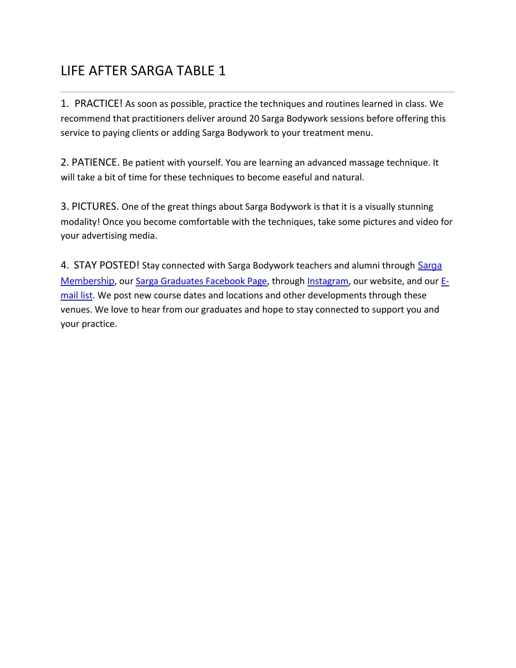## LIFE AFTER SARGA TABLE 1

1. PRACTICE! As soon as possible, practice the techniques and routines learned in class. We recommend that practitioners deliver around 20 Sarga Bodywork sessions before offering this service to paying clients or adding Sarga Bodywork to your treatment menu.

2. PATIENCE. Be patient with yourself. You are learning an advanced massage technique. It will take a bit of time for these techniques to become easeful and natural.

3. PICTURES. One of the great things about Sarga Bodywork is that it is a visually stunning modality! Once you become comfortable with the techniques, take some pictures and video for your advertising media.

4. STAY POSTED! Stay connected with [Sarga](https://25236278-722605183498186880.preview.editmysite.com/store/p36/Sarga_Bodywork_Membership%3A_Individual.html) Bodywork teachers and alumni through Sarga [Membership](https://25236278-722605183498186880.preview.editmysite.com/store/p36/Sarga_Bodywork_Membership%3A_Individual.html), our [Sarga Graduates Facebook Page,](https://www.facebook.com/groups/172835449916250/) through [Instagram,](https://www.instagram.com/sargabodywork/) our website, and our [E](http://sargabodywork.us15.list-manage1.com/subscribe?u=4b6e1b9b6f42dc10febe4ccc6&id=81a1fe5979)[mail list.](http://sargabodywork.us15.list-manage1.com/subscribe?u=4b6e1b9b6f42dc10febe4ccc6&id=81a1fe5979) We post new course dates and locations and other developments through these venues. We love to hear from our graduates and hope to stay connected to support you and your practice.